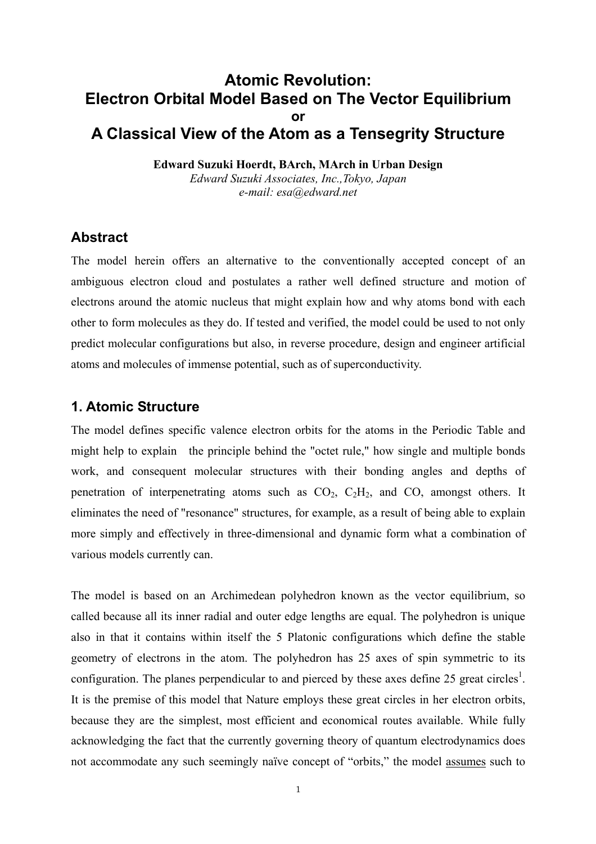# **Atomic Revolution: Electron Orbital Model Based on The Vector Equilibrium or A Classical View of the Atom as a Tensegrity Structure**

**Edward Suzuki Hoerdt, BArch, MArch in Urban Design**  *Edward Suzuki Associates, Inc.,Tokyo, Japan e-mail: esa@edward.net*

## **Abstract**

The model herein offers an alternative to the conventionally accepted concept of an ambiguous electron cloud and postulates a rather well defined structure and motion of electrons around the atomic nucleus that might explain how and why atoms bond with each other to form molecules as they do. If tested and verified, the model could be used to not only predict molecular configurations but also, in reverse procedure, design and engineer artificial atoms and molecules of immense potential, such as of superconductivity.

## **1. Atomic Structure**

The model defines specific valence electron orbits for the atoms in the Periodic Table and might help to explain the principle behind the "octet rule," how single and multiple bonds work, and consequent molecular structures with their bonding angles and depths of penetration of interpenetrating atoms such as  $CO<sub>2</sub>$ ,  $C<sub>2</sub>H<sub>2</sub>$ , and CO, amongst others. It eliminates the need of "resonance" structures, for example, as a result of being able to explain more simply and effectively in three-dimensional and dynamic form what a combination of various models currently can.

The model is based on an Archimedean polyhedron known as the vector equilibrium, so called because all its inner radial and outer edge lengths are equal. The polyhedron is unique also in that it contains within itself the 5 Platonic configurations which define the stable geometry of electrons in the atom. The polyhedron has 25 axes of spin symmetric to its configuration. The planes perpendicular to and pierced by these axes define 25 great circles<sup>1</sup>. It is the premise of this model that Nature employs these great circles in her electron orbits, because they are the simplest, most efficient and economical routes available. While fully acknowledging the fact that the currently governing theory of quantum electrodynamics does not accommodate any such seemingly naïve concept of "orbits," the model assumes such to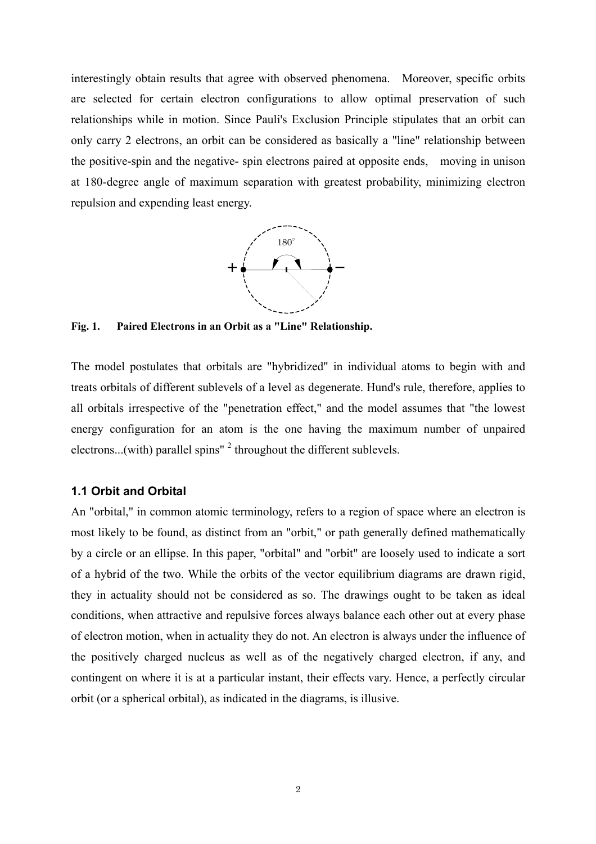interestingly obtain results that agree with observed phenomena. Moreover, specific orbits are selected for certain electron configurations to allow optimal preservation of such relationships while in motion. Since Pauli's Exclusion Principle stipulates that an orbit can only carry 2 electrons, an orbit can be considered as basically a "line" relationship between the positive-spin and the negative- spin electrons paired at opposite ends, moving in unison at 180-degree angle of maximum separation with greatest probability, minimizing electron repulsion and expending least energy.



**Fig. 1. Paired Electrons in an Orbit as a "Line" Relationship.** 

The model postulates that orbitals are "hybridized" in individual atoms to begin with and treats orbitals of different sublevels of a level as degenerate. Hund's rule, therefore, applies to all orbitals irrespective of the "penetration effect," and the model assumes that "the lowest energy configuration for an atom is the one having the maximum number of unpaired electrons...(with) parallel spins"  $2$  throughout the different sublevels.

#### **1.1 Orbit and Orbital**

An "orbital," in common atomic terminology, refers to a region of space where an electron is most likely to be found, as distinct from an "orbit," or path generally defined mathematically by a circle or an ellipse. In this paper, "orbital" and "orbit" are loosely used to indicate a sort of a hybrid of the two. While the orbits of the vector equilibrium diagrams are drawn rigid, they in actuality should not be considered as so. The drawings ought to be taken as ideal conditions, when attractive and repulsive forces always balance each other out at every phase of electron motion, when in actuality they do not. An electron is always under the influence of the positively charged nucleus as well as of the negatively charged electron, if any, and contingent on where it is at a particular instant, their effects vary. Hence, a perfectly circular orbit (or a spherical orbital), as indicated in the diagrams, is illusive.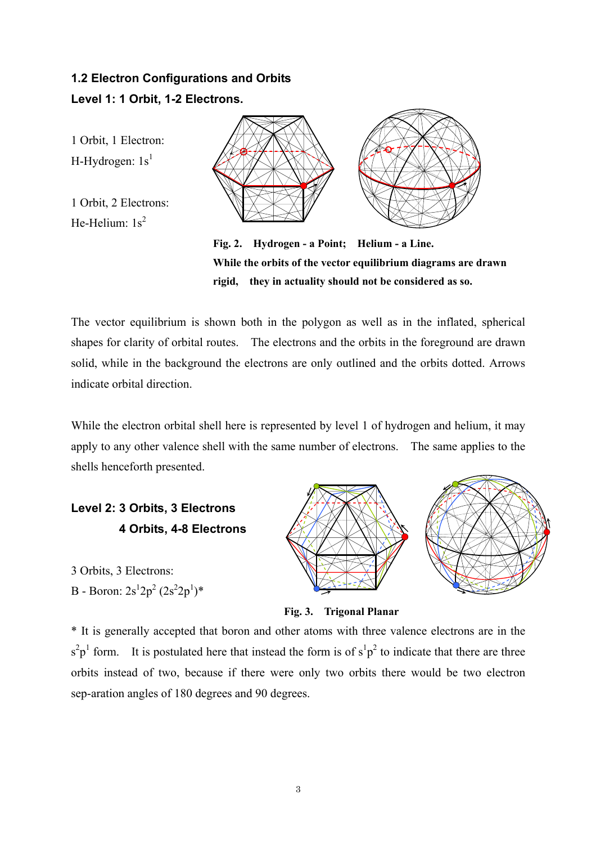# **1.2 Electron Configurations and Orbits Level 1: 1 Orbit, 1-2 Electrons.**

1 Orbit, 1 Electron: H-Hydrogen:  $1s<sup>1</sup>$ 

1 Orbit, 2 Electrons: He-Helium:  $1s^2$ 



**Fig. 2. Hydrogen - a Point; Helium - a Line. While the orbits of the vector equilibrium diagrams are drawn rigid, they in actuality should not be considered as so.** 

The vector equilibrium is shown both in the polygon as well as in the inflated, spherical shapes for clarity of orbital routes. The electrons and the orbits in the foreground are drawn solid, while in the background the electrons are only outlined and the orbits dotted. Arrows indicate orbital direction.

While the electron orbital shell here is represented by level 1 of hydrogen and helium, it may apply to any other valence shell with the same number of electrons. The same applies to the shells henceforth presented.

**Level 2: 3 Orbits, 3 Electrons 4 Orbits, 4-8 Electrons**

3 Orbits, 3 Electrons: B - Boron:  $2s^12p^2(2s^22p^1)^*$ 



**Fig. 3. Trigonal Planar** 

\* It is generally accepted that boron and other atoms with three valence electrons are in the  $s^2p^1$  form. It is postulated here that instead the form is of  $s^1p^2$  to indicate that there are three orbits instead of two, because if there were only two orbits there would be two electron sep-aration angles of 180 degrees and 90 degrees.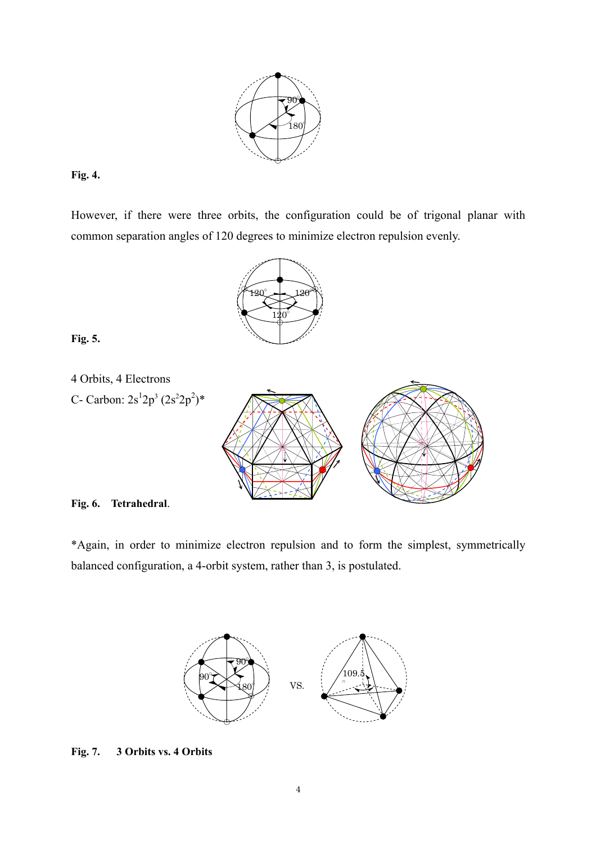

## **Fig. 4.**

However, if there were three orbits, the configuration could be of trigonal planar with common separation angles of 120 degrees to minimize electron repulsion evenly.



## **Fig. 5.**



#### **Fig. 6. Tetrahedral**.

\*Again, in order to minimize electron repulsion and to form the simplest, symmetrically balanced configuration, a 4-orbit system, rather than 3, is postulated.



#### **Fig. 7. 3 Orbits vs. 4 Orbits**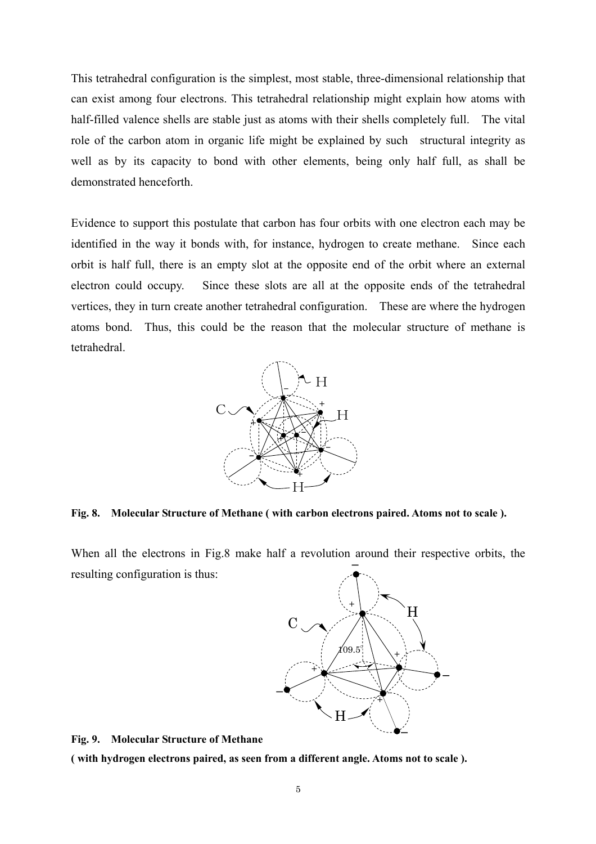This tetrahedral configuration is the simplest, most stable, three-dimensional relationship that can exist among four electrons. This tetrahedral relationship might explain how atoms with half-filled valence shells are stable just as atoms with their shells completely full. The vital role of the carbon atom in organic life might be explained by such structural integrity as well as by its capacity to bond with other elements, being only half full, as shall be demonstrated henceforth.

Evidence to support this postulate that carbon has four orbits with one electron each may be identified in the way it bonds with, for instance, hydrogen to create methane. Since each orbit is half full, there is an empty slot at the opposite end of the orbit where an external electron could occupy. Since these slots are all at the opposite ends of the tetrahedral vertices, they in turn create another tetrahedral configuration. These are where the hydrogen atoms bond. Thus, this could be the reason that the molecular structure of methane is tetrahedral.



**Fig. 8. Molecular Structure of Methane ( with carbon electrons paired. Atoms not to scale ).** 

When all the electrons in Fig.8 make half a revolution around their respective orbits, the resulting configuration is thus: -



**Fig. 9. Molecular Structure of Methane** 

**( with hydrogen electrons paired, as seen from a different angle. Atoms not to scale ).**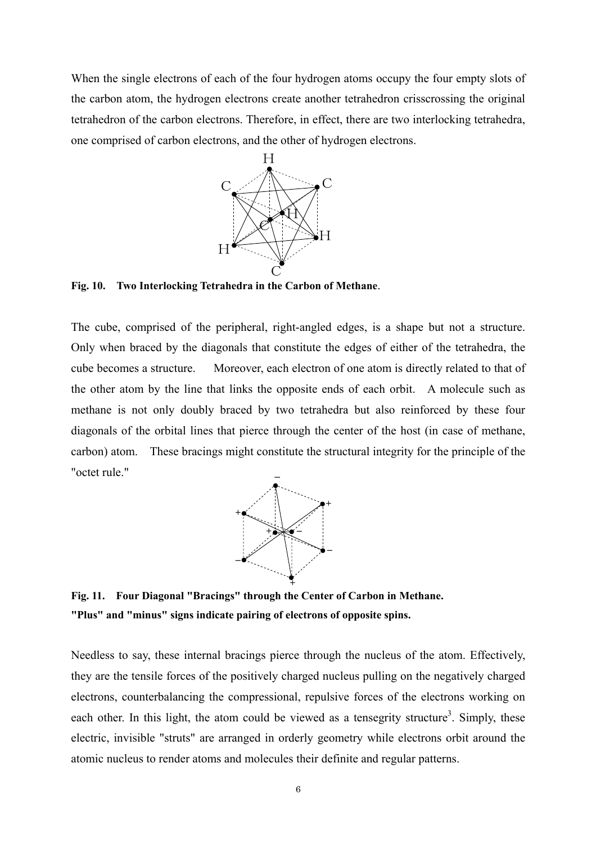When the single electrons of each of the four hydrogen atoms occupy the four empty slots of the carbon atom, the hydrogen electrons create another tetrahedron crisscrossing the original tetrahedron of the carbon electrons. Therefore, in effect, there are two interlocking tetrahedra, one comprised of carbon electrons, and the other of hydrogen electrons.



**Fig. 10. Two Interlocking Tetrahedra in the Carbon of Methane**.

The cube, comprised of the peripheral, right-angled edges, is a shape but not a structure. Only when braced by the diagonals that constitute the edges of either of the tetrahedra, the cube becomes a structure. Moreover, each electron of one atom is directly related to that of the other atom by the line that links the opposite ends of each orbit. A molecule such as methane is not only doubly braced by two tetrahedra but also reinforced by these four diagonals of the orbital lines that pierce through the center of the host (in case of methane, carbon) atom. These bracings might constitute the structural integrity for the principle of the "octet rule."



**Fig. 11. Four Diagonal "Bracings" through the Center of Carbon in Methane. "Plus" and "minus" signs indicate pairing of electrons of opposite spins.** 

Needless to say, these internal bracings pierce through the nucleus of the atom. Effectively, they are the tensile forces of the positively charged nucleus pulling on the negatively charged electrons, counterbalancing the compressional, repulsive forces of the electrons working on each other. In this light, the atom could be viewed as a tensegrity structure<sup>3</sup>. Simply, these electric, invisible "struts" are arranged in orderly geometry while electrons orbit around the atomic nucleus to render atoms and molecules their definite and regular patterns.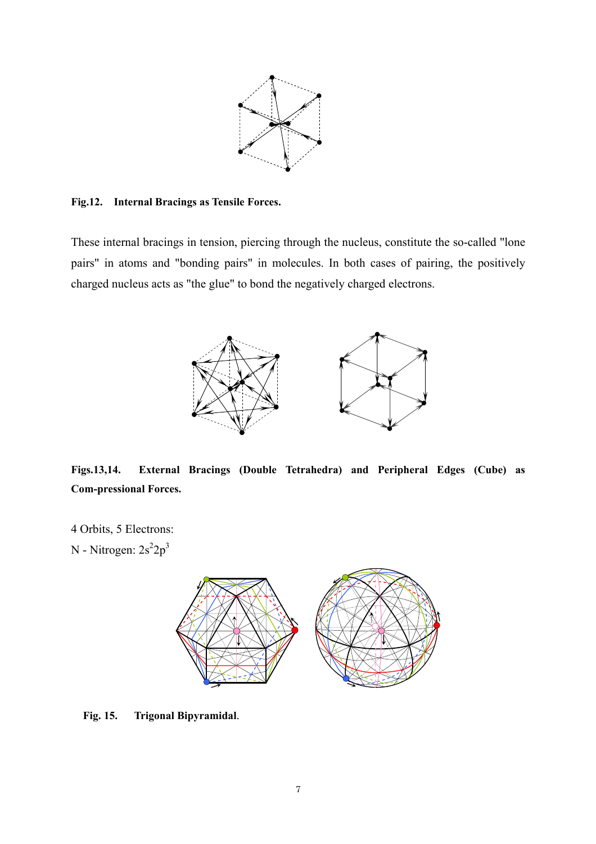

#### **Fig.12. Internal Bracings as Tensile Forces.**

These internal bracings in tension, piercing through the nucleus, constitute the so-called "lone pairs" in atoms and "bonding pairs" in molecules. In both cases of pairing, the positively charged nucleus acts as "the glue" to bond the negatively charged electrons.



**Figs.13,14. External Bracings (Double Tetrahedra) and Peripheral Edges (Cube) as Com-pressional Forces.** 

4 Orbits, 5 Electrons: N - Nitrogen:  $2s^2 2p^3$ 



**Fig. 15. Trigonal Bipyramidal**.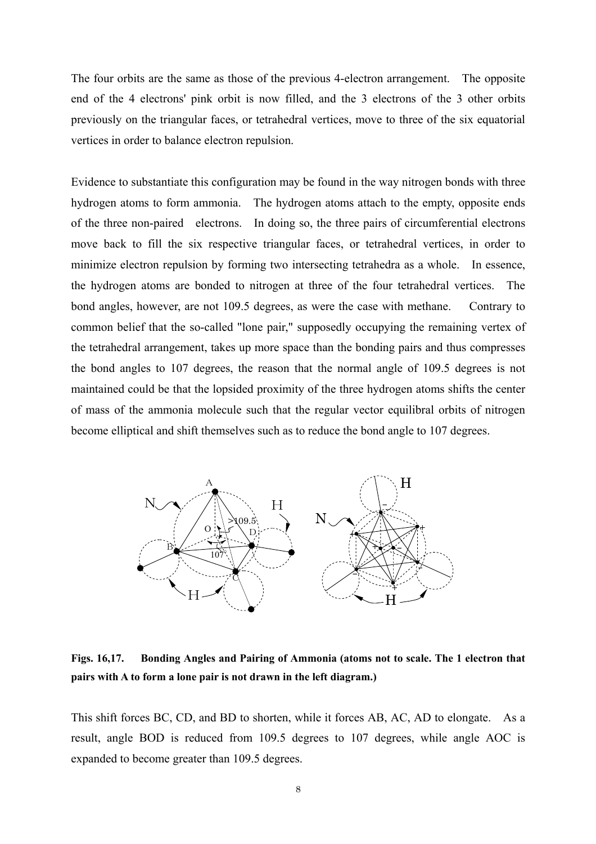The four orbits are the same as those of the previous 4-electron arrangement. The opposite end of the 4 electrons' pink orbit is now filled, and the 3 electrons of the 3 other orbits previously on the triangular faces, or tetrahedral vertices, move to three of the six equatorial vertices in order to balance electron repulsion.

Evidence to substantiate this configuration may be found in the way nitrogen bonds with three hydrogen atoms to form ammonia. The hydrogen atoms attach to the empty, opposite ends of the three non-paired electrons. In doing so, the three pairs of circumferential electrons move back to fill the six respective triangular faces, or tetrahedral vertices, in order to minimize electron repulsion by forming two intersecting tetrahedra as a whole. In essence, the hydrogen atoms are bonded to nitrogen at three of the four tetrahedral vertices. The bond angles, however, are not 109.5 degrees, as were the case with methane. Contrary to common belief that the so-called "lone pair," supposedly occupying the remaining vertex of the tetrahedral arrangement, takes up more space than the bonding pairs and thus compresses the bond angles to 107 degrees, the reason that the normal angle of 109.5 degrees is not maintained could be that the lopsided proximity of the three hydrogen atoms shifts the center of mass of the ammonia molecule such that the regular vector equilibral orbits of nitrogen become elliptical and shift themselves such as to reduce the bond angle to 107 degrees.



**Figs. 16,17. Bonding Angles and Pairing of Ammonia (atoms not to scale. The 1 electron that pairs with A to form a lone pair is not drawn in the left diagram.)** 

This shift forces BC, CD, and BD to shorten, while it forces AB, AC, AD to elongate. As a result, angle BOD is reduced from 109.5 degrees to 107 degrees, while angle AOC is expanded to become greater than 109.5 degrees.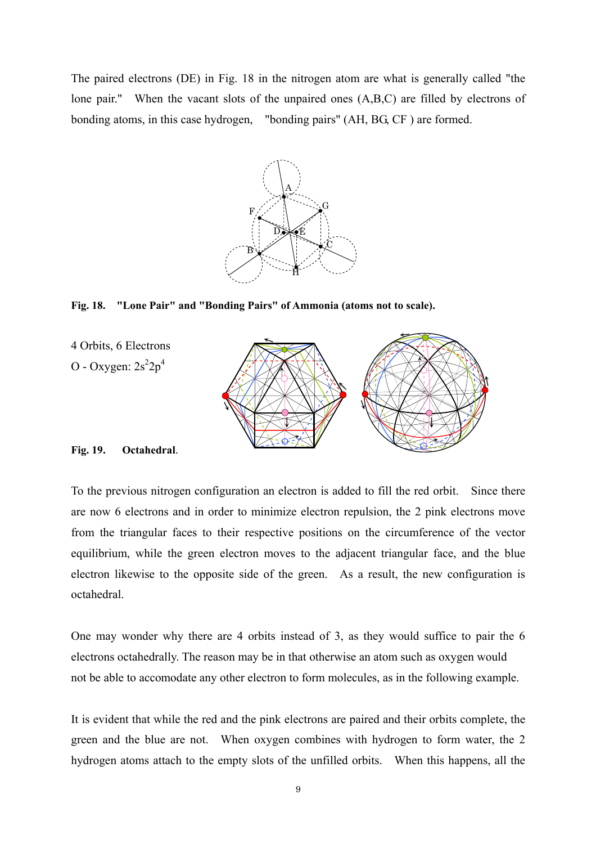The paired electrons (DE) in Fig. 18 in the nitrogen atom are what is generally called "the lone pair." When the vacant slots of the unpaired ones (A,B,C) are filled by electrons of bonding atoms, in this case hydrogen, "bonding pairs" (AH, BG, CF ) are formed.



**Fig. 18. "Lone Pair" and "Bonding Pairs" of Ammonia (atoms not to scale).** 



#### **Fig. 19. Octahedral**.

To the previous nitrogen configuration an electron is added to fill the red orbit. Since there are now 6 electrons and in order to minimize electron repulsion, the 2 pink electrons move from the triangular faces to their respective positions on the circumference of the vector equilibrium, while the green electron moves to the adjacent triangular face, and the blue electron likewise to the opposite side of the green. As a result, the new configuration is octahedral.

One may wonder why there are 4 orbits instead of 3, as they would suffice to pair the 6 electrons octahedrally. The reason may be in that otherwise an atom such as oxygen would not be able to accomodate any other electron to form molecules, as in the following example.

It is evident that while the red and the pink electrons are paired and their orbits complete, the green and the blue are not. When oxygen combines with hydrogen to form water, the 2 hydrogen atoms attach to the empty slots of the unfilled orbits. When this happens, all the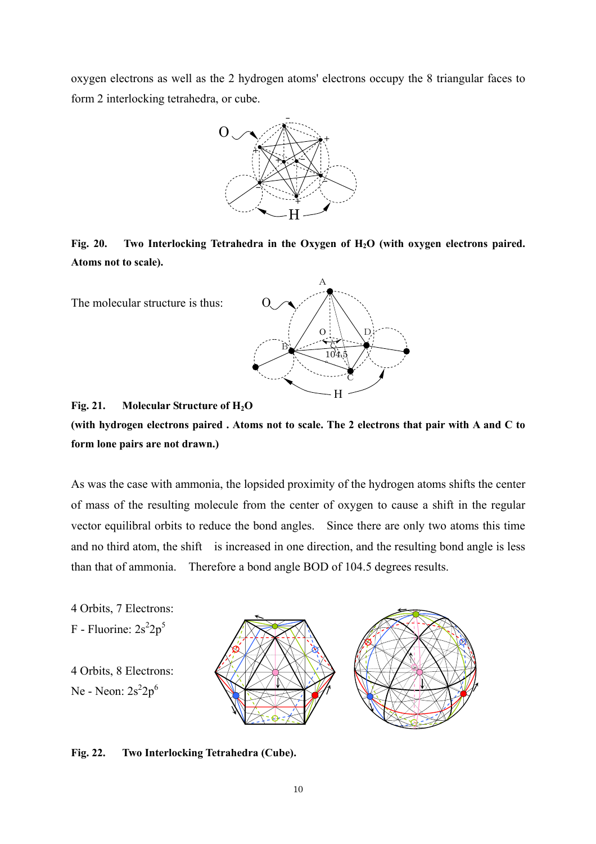oxygen electrons as well as the 2 hydrogen atoms' electrons occupy the 8 triangular faces to form 2 interlocking tetrahedra, or cube.



Fig. 20. Two Interlocking Tetrahedra in the Oxygen of H<sub>2</sub>O (with oxygen electrons paired. **Atoms not to scale).** 

The molecular structure is thus:



#### **Fig. 21. Molecular Structure of H2O**



As was the case with ammonia, the lopsided proximity of the hydrogen atoms shifts the center of mass of the resulting molecule from the center of oxygen to cause a shift in the regular vector equilibral orbits to reduce the bond angles. Since there are only two atoms this time and no third atom, the shift is increased in one direction, and the resulting bond angle is less than that of ammonia. Therefore a bond angle BOD of 104.5 degrees results.

4 Orbits, 7 Electrons: F - Fluorine:  $2s^22p^5$ 

4 Orbits, 8 Electrons: Ne - Neon:  $2s^2 2p^6$ 



#### **Fig. 22. Two Interlocking Tetrahedra (Cube).**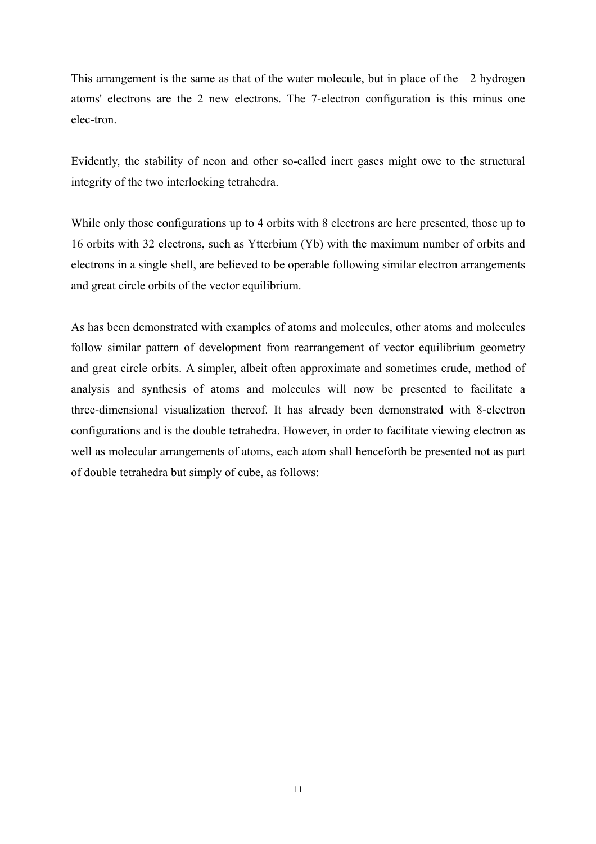This arrangement is the same as that of the water molecule, but in place of the 2 hydrogen atoms' electrons are the 2 new electrons. The 7-electron configuration is this minus one elec-tron.

Evidently, the stability of neon and other so-called inert gases might owe to the structural integrity of the two interlocking tetrahedra.

While only those configurations up to 4 orbits with 8 electrons are here presented, those up to 16 orbits with 32 electrons, such as Ytterbium (Yb) with the maximum number of orbits and electrons in a single shell, are believed to be operable following similar electron arrangements and great circle orbits of the vector equilibrium.

As has been demonstrated with examples of atoms and molecules, other atoms and molecules follow similar pattern of development from rearrangement of vector equilibrium geometry and great circle orbits. A simpler, albeit often approximate and sometimes crude, method of analysis and synthesis of atoms and molecules will now be presented to facilitate a three-dimensional visualization thereof. It has already been demonstrated with 8-electron configurations and is the double tetrahedra. However, in order to facilitate viewing electron as well as molecular arrangements of atoms, each atom shall henceforth be presented not as part of double tetrahedra but simply of cube, as follows: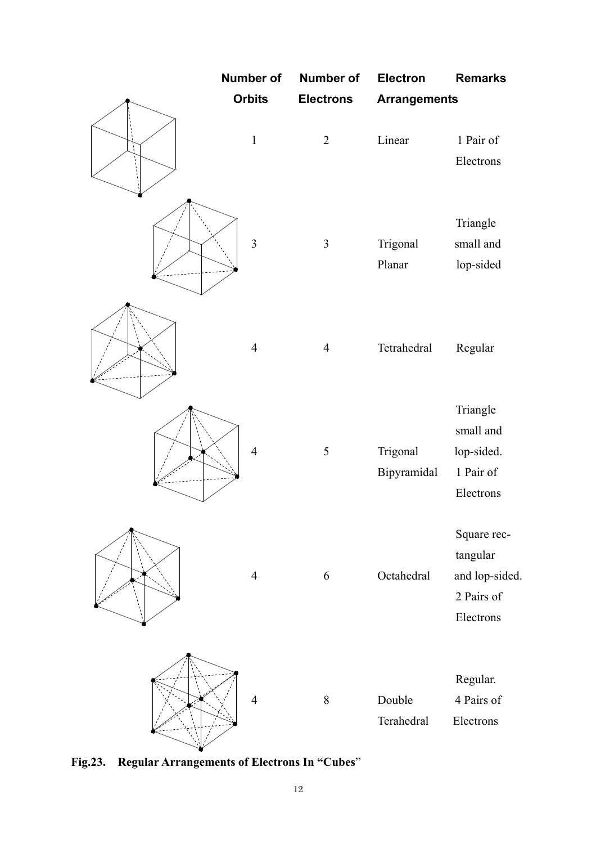

**Fig.23. Regular Arrangements of Electrons In "Cubes**"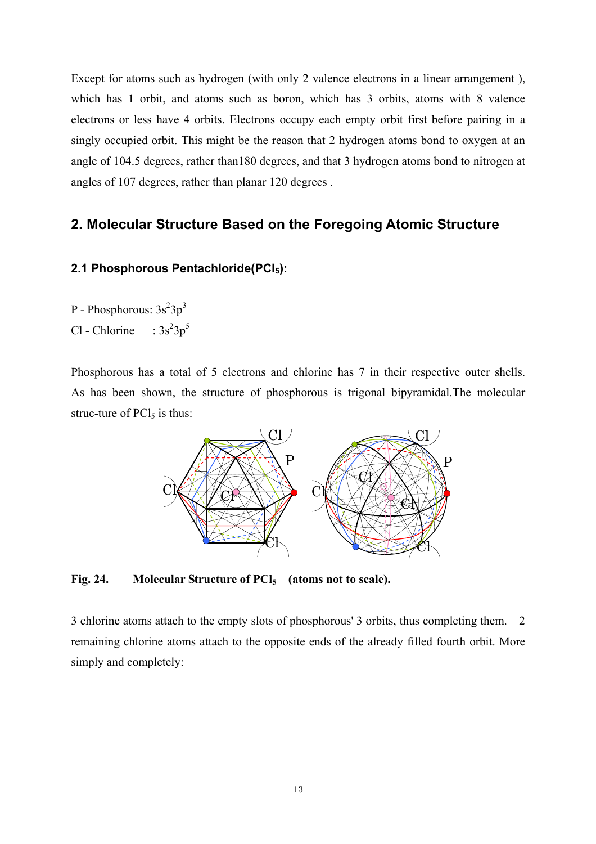Except for atoms such as hydrogen (with only 2 valence electrons in a linear arrangement ), which has 1 orbit, and atoms such as boron, which has 3 orbits, atoms with 8 valence electrons or less have 4 orbits. Electrons occupy each empty orbit first before pairing in a singly occupied orbit. This might be the reason that 2 hydrogen atoms bond to oxygen at an angle of 104.5 degrees, rather than180 degrees, and that 3 hydrogen atoms bond to nitrogen at angles of 107 degrees, rather than planar 120 degrees .

# **2. Molecular Structure Based on the Foregoing Atomic Structure**

## 2.1 Phosphorous Pentachloride(PCI<sub>5</sub>):

- P Phosphorous:  $3s^23p^3$
- Cl Chlorine :  $3s^23p^5$

Phosphorous has a total of 5 electrons and chlorine has 7 in their respective outer shells. As has been shown, the structure of phosphorous is trigonal bipyramidal.The molecular struc-ture of  $\text{PCl}_5$  is thus:



Fig. 24. Molecular Structure of PCl<sub>5</sub> (atoms not to scale).

3 chlorine atoms attach to the empty slots of phosphorous' 3 orbits, thus completing them. 2 remaining chlorine atoms attach to the opposite ends of the already filled fourth orbit. More simply and completely: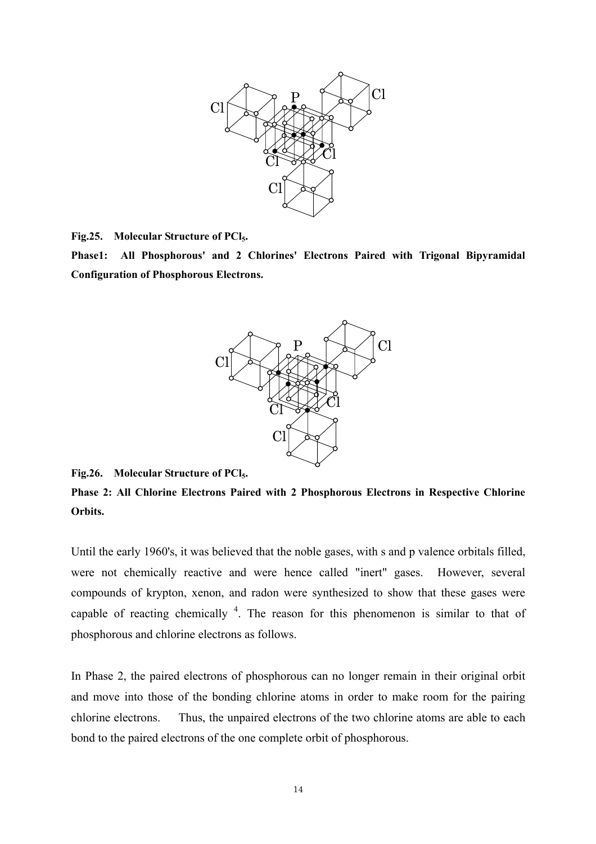

**Fig.25. Molecular Structure of PCl5.** 

**Phase1: All Phosphorous' and 2 Chlorines' Electrons Paired with Trigonal Bipyramidal Configuration of Phosphorous Electrons.**



**Fig.26. Molecular Structure of PCl5.** 

**Phase 2: All Chlorine Electrons Paired with 2 Phosphorous Electrons in Respective Chlorine Orbits.**

Until the early 1960's, it was believed that the noble gases, with s and p valence orbitals filled, were not chemically reactive and were hence called "inert" gases. However, several compounds of krypton, xenon, and radon were synthesized to show that these gases were capable of reacting chemically  $4$ . The reason for this phenomenon is similar to that of phosphorous and chlorine electrons as follows.

In Phase 2, the paired electrons of phosphorous can no longer remain in their original orbit and move into those of the bonding chlorine atoms in order to make room for the pairing chlorine electrons. Thus, the unpaired electrons of the two chlorine atoms are able to each bond to the paired electrons of the one complete orbit of phosphorous.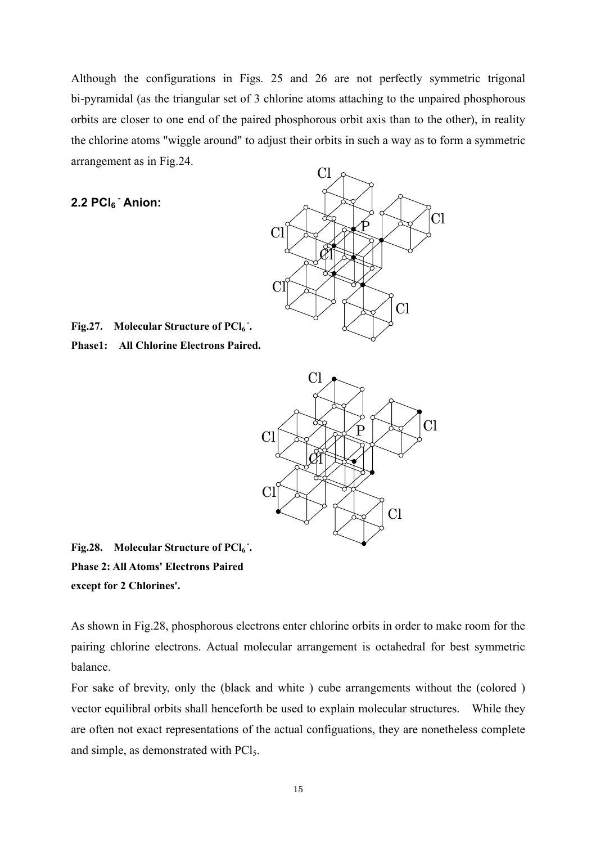Although the configurations in Figs. 25 and 26 are not perfectly symmetric trigonal bi-pyramidal (as the triangular set of 3 chlorine atoms attaching to the unpaired phosphorous orbits are closer to one end of the paired phosphorous orbit axis than to the other), in reality the chlorine atoms "wiggle around" to adjust their orbits in such a way as to form a symmetric arrangement as in Fig.24.

## **2.2 PCl6 - Anion:**



Fig. 27. Molecular Structure of PCI<sub>6</sub>. **Phase1: All Chlorine Electrons Paired.**



Fig. 28. Molecular Structure of PCI<sub>6</sub>. **Phase 2: All Atoms' Electrons Paired except for 2 Chlorines'.**

As shown in Fig.28, phosphorous electrons enter chlorine orbits in order to make room for the pairing chlorine electrons. Actual molecular arrangement is octahedral for best symmetric balance.

For sake of brevity, only the (black and white ) cube arrangements without the (colored ) vector equilibral orbits shall henceforth be used to explain molecular structures. While they are often not exact representations of the actual configuations, they are nonetheless complete and simple, as demonstrated with PCl5.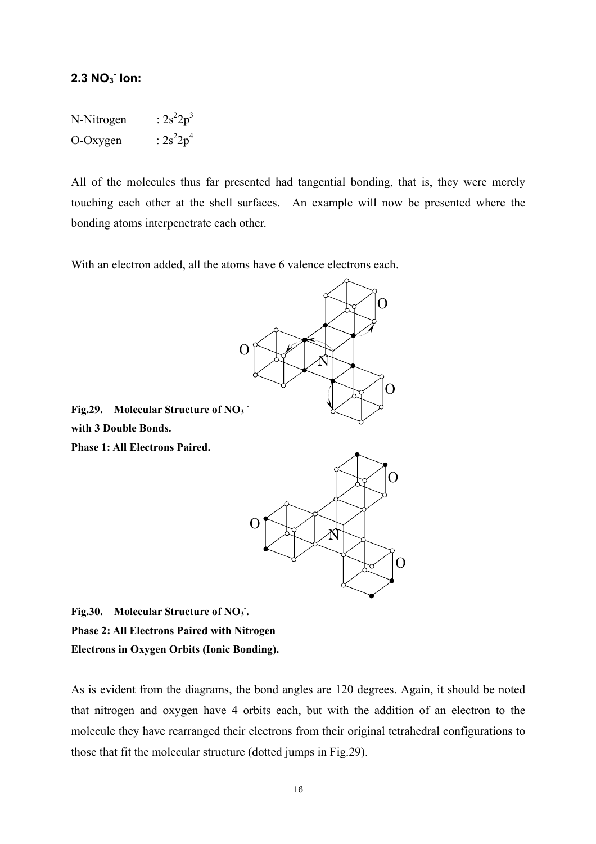## **2.3 NO3** -  **Ion:**

| N-Nitrogen | : $2s^22p^3$ |
|------------|--------------|
| O-Oxygen   | : $2s^22p^4$ |

All of the molecules thus far presented had tangential bonding, that is, they were merely touching each other at the shell surfaces. An example will now be presented where the bonding atoms interpenetrate each other.

With an electron added, all the atoms have 6 valence electrons each.



Fig. 30. Molecular Structure of NO<sub>3</sub>. **Phase 2: All Electrons Paired with Nitrogen Electrons in Oxygen Orbits (Ionic Bonding).** 

As is evident from the diagrams, the bond angles are 120 degrees. Again, it should be noted that nitrogen and oxygen have 4 orbits each, but with the addition of an electron to the molecule they have rearranged their electrons from their original tetrahedral configurations to those that fit the molecular structure (dotted jumps in Fig.29).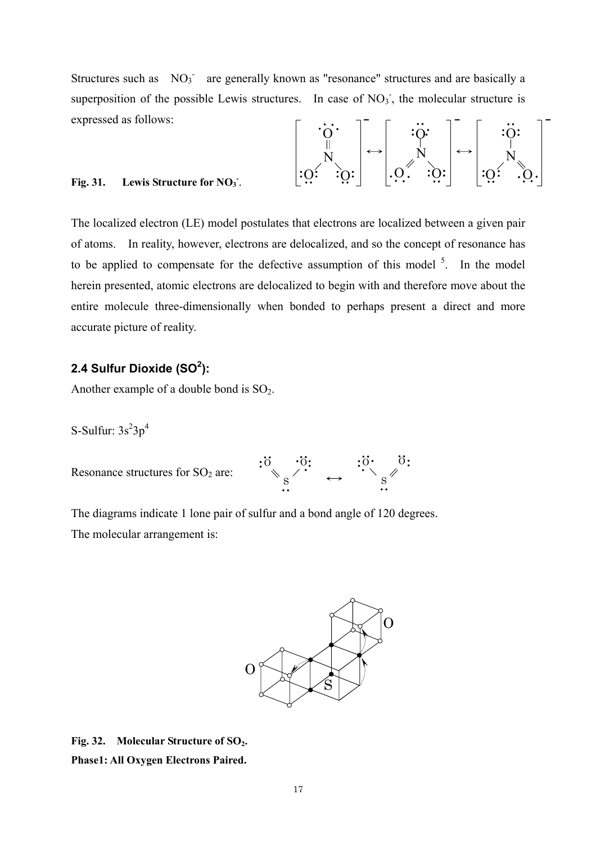Structures such as  $NO_3$ <sup>-</sup> are generally known as "resonance" structures and are basically a superposition of the possible Lewis structures. In case of  $NO<sub>3</sub>$ , the molecular structure is expressed as follows:

O N O O O N O O O N O O

 $\overline{\phantom{0}}$   $\overline{\phantom{0}}$ 

### Fig. 31. Lewis Structure for NO<sub>3</sub>.

The localized electron (LE) model postulates that electrons are localized between a given pair of atoms. In reality, however, electrons are delocalized, and so the concept of resonance has to be applied to compensate for the defective assumption of this model  $5$ . In the model herein presented, atomic electrons are delocalized to begin with and therefore move about the entire molecule three-dimensionally when bonded to perhaps present a direct and more accurate picture of reality.

## **2.4 Sulfur Dioxide (SO<sup>2</sup> ):**

Another example of a double bond is  $SO_2$ .

S-Sulfur:  $3s^23p^4$ 

Resonance structures for  $SO<sub>2</sub>$  are:



The diagrams indicate 1 lone pair of sulfur and a bond angle of 120 degrees. The molecular arrangement is:



Fig. 32. Molecular Structure of SO<sub>2</sub>. **Phase1: All Oxygen Electrons Paired.**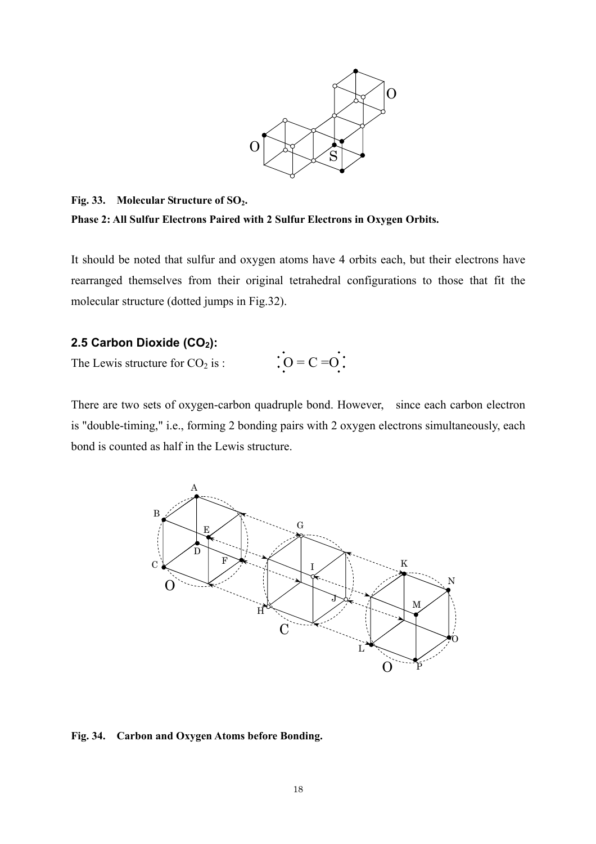

Fig. 33. Molecular Structure of SO<sub>2</sub>. **Phase 2: All Sulfur Electrons Paired with 2 Sulfur Electrons in Oxygen Orbits.**

It should be noted that sulfur and oxygen atoms have 4 orbits each, but their electrons have rearranged themselves from their original tetrahedral configurations to those that fit the molecular structure (dotted jumps in Fig.32).

## 2.5 Carbon Dioxide (CO<sub>2</sub>):

The Lewis structure for  $CO<sub>2</sub>$  is :

 $\therefore$  O = C = O :

There are two sets of oxygen-carbon quadruple bond. However, since each carbon electron is "double-timing," i.e., forming 2 bonding pairs with 2 oxygen electrons simultaneously, each bond is counted as half in the Lewis structure.



**Fig. 34. Carbon and Oxygen Atoms before Bonding.**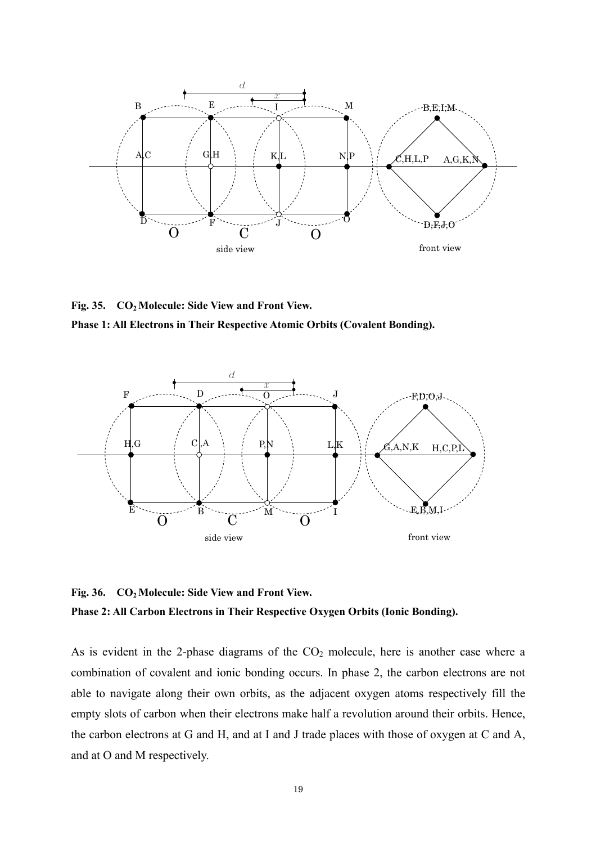

**Fig. 35. CO2 Molecule: Side View and Front View.** 

**Phase 1: All Electrons in Their Respective Atomic Orbits (Covalent Bonding).**



**Fig. 36. CO2 Molecule: Side View and Front View. Phase 2: All Carbon Electrons in Their Respective Oxygen Orbits (Ionic Bonding).**

As is evident in the 2-phase diagrams of the  $CO<sub>2</sub>$  molecule, here is another case where a combination of covalent and ionic bonding occurs. In phase 2, the carbon electrons are not able to navigate along their own orbits, as the adjacent oxygen atoms respectively fill the empty slots of carbon when their electrons make half a revolution around their orbits. Hence, the carbon electrons at G and H, and at I and J trade places with those of oxygen at C and A, and at O and M respectively.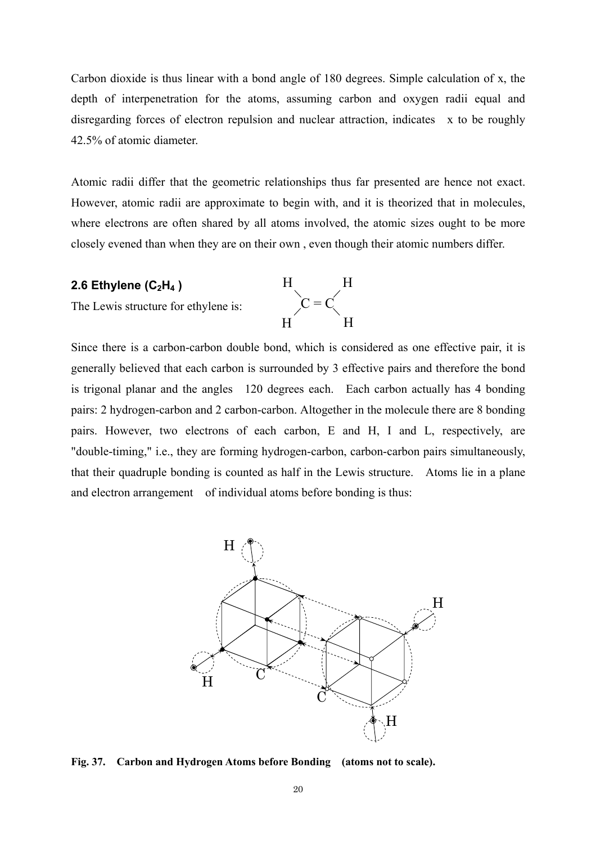Carbon dioxide is thus linear with a bond angle of 180 degrees. Simple calculation of x, the depth of interpenetration for the atoms, assuming carbon and oxygen radii equal and disregarding forces of electron repulsion and nuclear attraction, indicates x to be roughly 42.5% of atomic diameter.

Atomic radii differ that the geometric relationships thus far presented are hence not exact. However, atomic radii are approximate to begin with, and it is theorized that in molecules, where electrons are often shared by all atoms involved, the atomic sizes ought to be more closely evened than when they are on their own , even though their atomic numbers differ.

 $C = C$ 

H H

H H

### **2.6 Ethylene (C2H4 )**

The Lewis structure for ethylene is:

Since there is a carbon-carbon double bond, which is considered as one effective pair, it is generally believed that each carbon is surrounded by 3 effective pairs and therefore the bond is trigonal planar and the angles 120 degrees each. Each carbon actually has 4 bonding pairs: 2 hydrogen-carbon and 2 carbon-carbon. Altogether in the molecule there are 8 bonding pairs. However, two electrons of each carbon, E and H, I and L, respectively, are "double-timing," i.e., they are forming hydrogen-carbon, carbon-carbon pairs simultaneously, that their quadruple bonding is counted as half in the Lewis structure. Atoms lie in a plane and electron arrangement of individual atoms before bonding is thus:



**Fig. 37. Carbon and Hydrogen Atoms before Bonding (atoms not to scale).**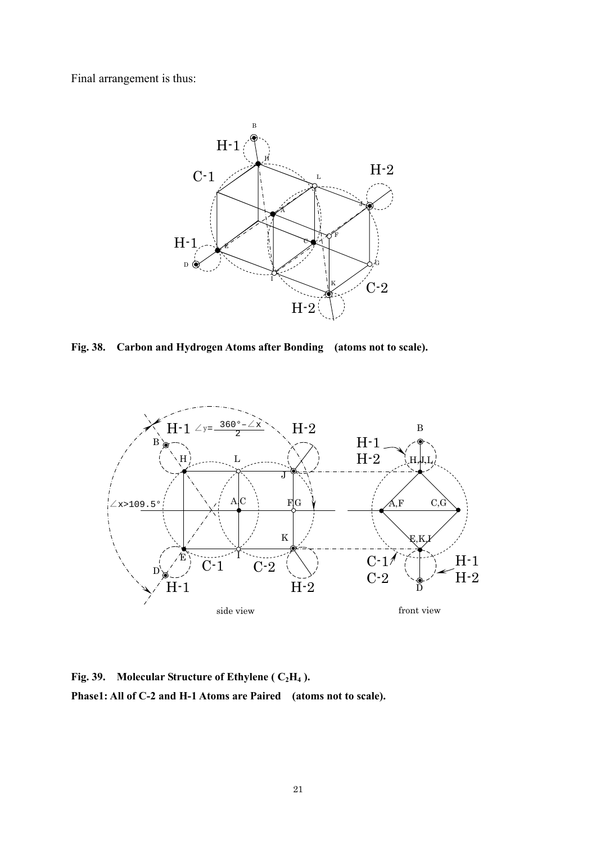Final arrangement is thus:



**Fig. 38. Carbon and Hydrogen Atoms after Bonding (atoms not to scale).** 



Fig. 39. Molecular Structure of Ethylene (  $C_2H_4$  ). **Phase1: All of C-2 and H-1 Atoms are Paired (atoms not to scale).**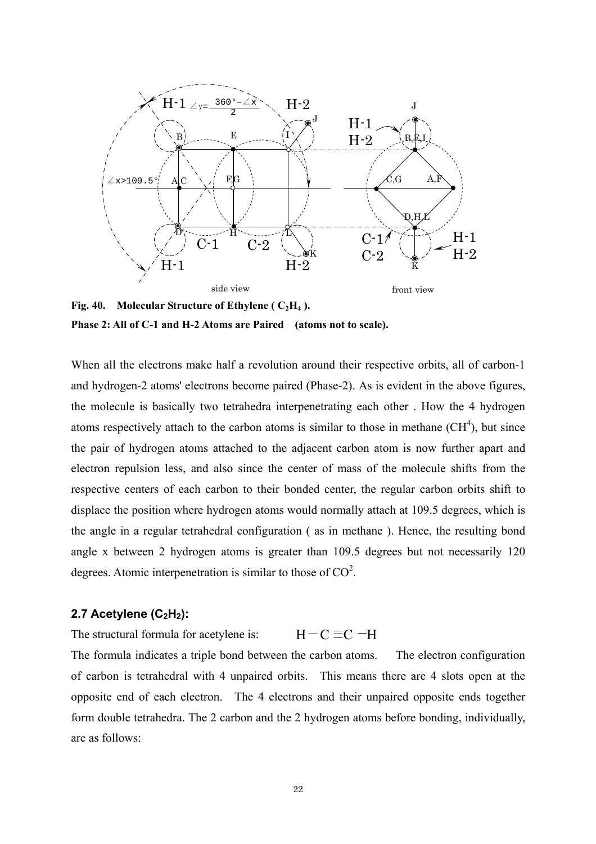

**Fig. 40. Molecular Structure of Ethylene (** $C_2H_4$ **). Phase 2: All of C-1 and H-2 Atoms are Paired (atoms not to scale).**

When all the electrons make half a revolution around their respective orbits, all of carbon-1 and hydrogen-2 atoms' electrons become paired (Phase-2). As is evident in the above figures, the molecule is basically two tetrahedra interpenetrating each other . How the 4 hydrogen atoms respectively attach to the carbon atoms is similar to those in methane  $(CH<sup>4</sup>)$ , but since the pair of hydrogen atoms attached to the adjacent carbon atom is now further apart and electron repulsion less, and also since the center of mass of the molecule shifts from the respective centers of each carbon to their bonded center, the regular carbon orbits shift to displace the position where hydrogen atoms would normally attach at 109.5 degrees, which is the angle in a regular tetrahedral configuration ( as in methane ). Hence, the resulting bond angle x between 2 hydrogen atoms is greater than 109.5 degrees but not necessarily 120 degrees. Atomic interpenetration is similar to those of  $CO<sup>2</sup>$ .

#### **2.7 Acetylene (C<sub>2</sub>H<sub>2</sub>):**

The structural formula for acetylene is: The formula indicates a triple bond between the carbon atoms. The electron configuration of carbon is tetrahedral with 4 unpaired orbits. This means there are 4 slots open at the opposite end of each electron. The 4 electrons and their unpaired opposite ends together form double tetrahedra. The 2 carbon and the 2 hydrogen atoms before bonding, individually, are as follows:  $H - C \equiv C - H$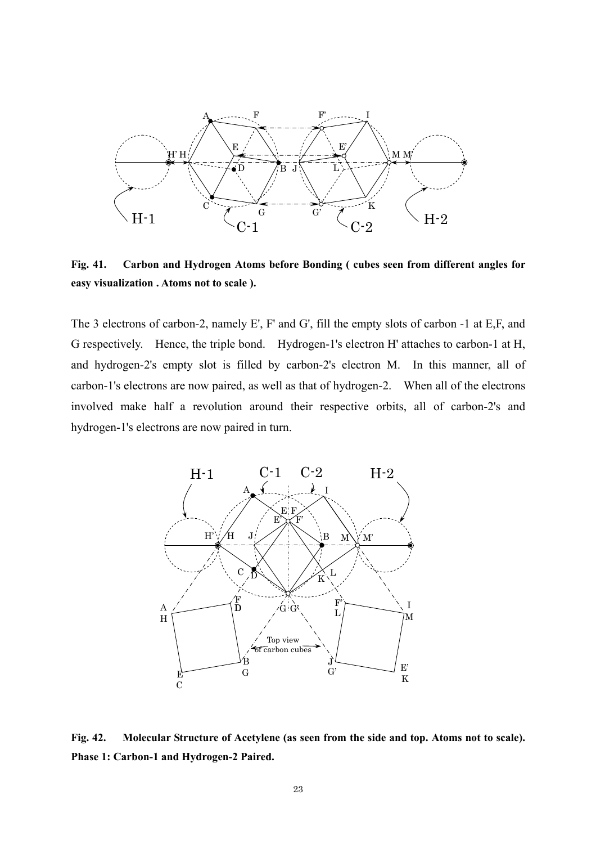

**Fig. 41. Carbon and Hydrogen Atoms before Bonding ( cubes seen from different angles for easy visualization . Atoms not to scale ).** 

The 3 electrons of carbon-2, namely E', F' and G', fill the empty slots of carbon -1 at E,F, and G respectively. Hence, the triple bond. Hydrogen-1's electron H' attaches to carbon-1 at H, and hydrogen-2's empty slot is filled by carbon-2's electron M. In this manner, all of carbon-1's electrons are now paired, as well as that of hydrogen-2. When all of the electrons involved make half a revolution around their respective orbits, all of carbon-2's and hydrogen-1's electrons are now paired in turn.



**Fig. 42. Molecular Structure of Acetylene (as seen from the side and top. Atoms not to scale). Phase 1: Carbon-1 and Hydrogen-2 Paired.**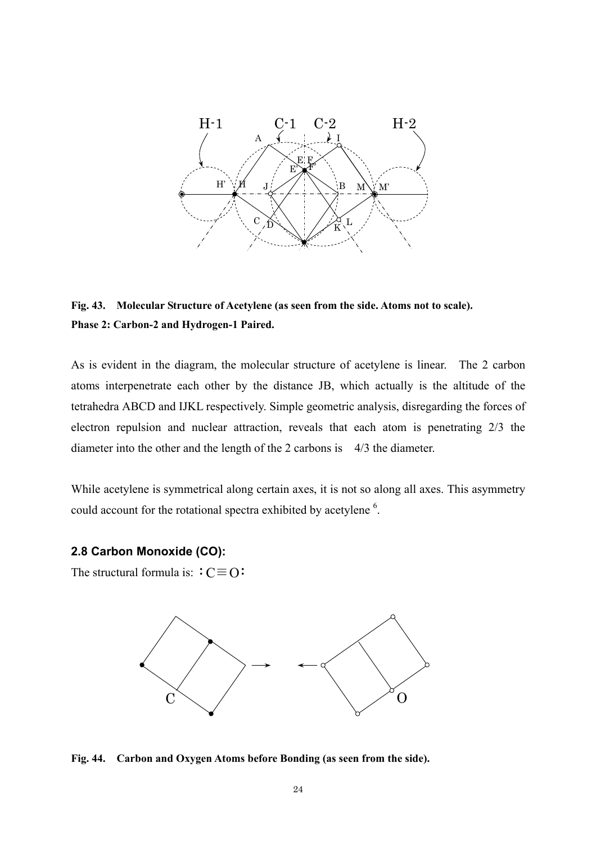

**Fig. 43. Molecular Structure of Acetylene (as seen from the side. Atoms not to scale). Phase 2: Carbon-2 and Hydrogen-1 Paired.** 

As is evident in the diagram, the molecular structure of acetylene is linear. The 2 carbon atoms interpenetrate each other by the distance JB, which actually is the altitude of the tetrahedra ABCD and IJKL respectively. Simple geometric analysis, disregarding the forces of electron repulsion and nuclear attraction, reveals that each atom is penetrating 2/3 the diameter into the other and the length of the 2 carbons is 4/3 the diameter.

While acetylene is symmetrical along certain axes, it is not so along all axes. This asymmetry could account for the rotational spectra exhibited by acetylene<sup>6</sup>.

#### **2.8 Carbon Monoxide (CO):**

The structural formula is:  $\div C \equiv O$ 



**Fig. 44. Carbon and Oxygen Atoms before Bonding (as seen from the side).**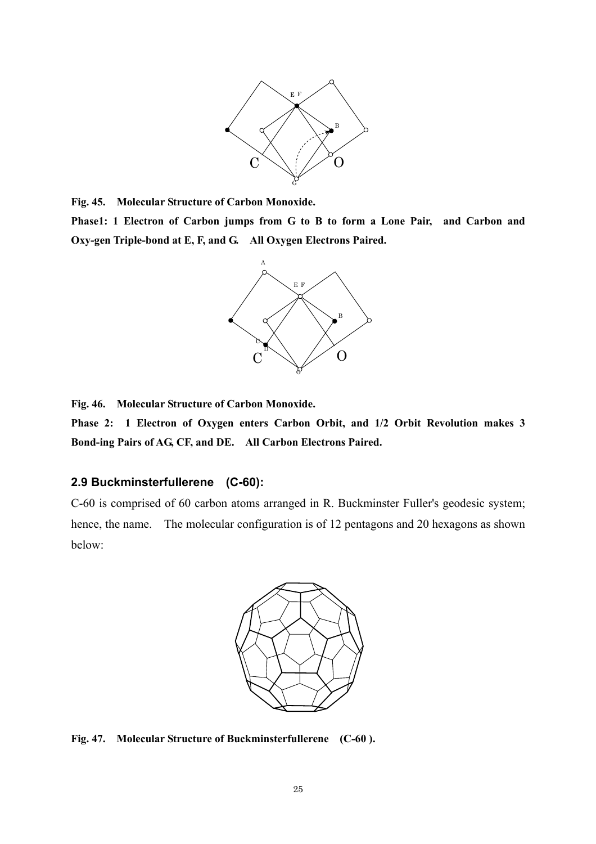

**Fig. 45. Molecular Structure of Carbon Monoxide.** 

**Phase1: 1 Electron of Carbon jumps from G to B to form a Lone Pair, and Carbon and Oxy-gen Triple-bond at E, F, and G. All Oxygen Electrons Paired.**



**Fig. 46. Molecular Structure of Carbon Monoxide.** 

**Phase 2: 1 Electron of Oxygen enters Carbon Orbit, and 1/2 Orbit Revolution makes 3 Bond-ing Pairs of AG, CF, and DE. All Carbon Electrons Paired.**

#### **2.9 Buckminsterfullerene (C-60):**

C-60 is comprised of 60 carbon atoms arranged in R. Buckminster Fuller's geodesic system; hence, the name. The molecular configuration is of 12 pentagons and 20 hexagons as shown below:



**Fig. 47. Molecular Structure of Buckminsterfullerene (C-60 ).**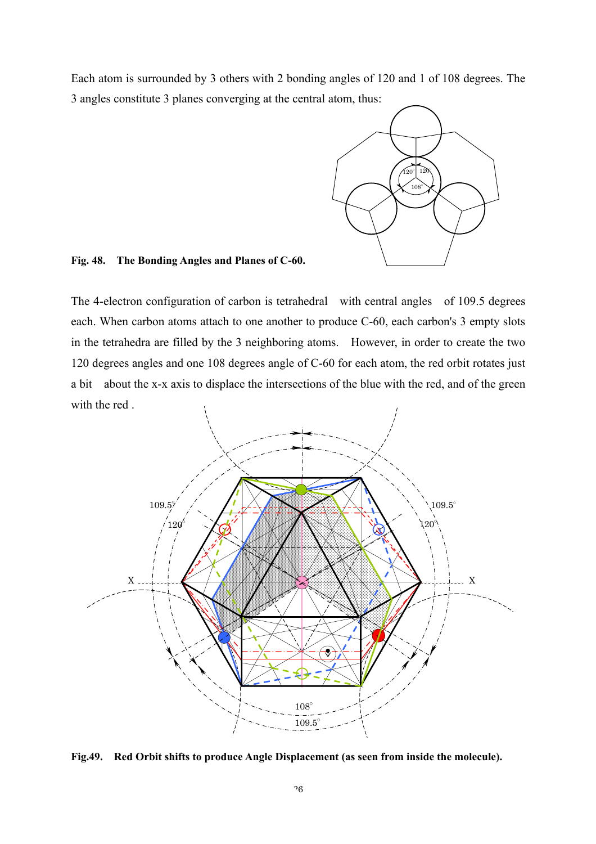Each atom is surrounded by 3 others with 2 bonding angles of 120 and 1 of 108 degrees. The 3 angles constitute 3 planes converging at the central atom, thus:



**Fig. 48. The Bonding Angles and Planes of C-60.**

The 4-electron configuration of carbon is tetrahedral with central angles of 109.5 degrees each. When carbon atoms attach to one another to produce C-60, each carbon's 3 empty slots in the tetrahedra are filled by the 3 neighboring atoms. However, in order to create the two 120 degrees angles and one 108 degrees angle of C-60 for each atom, the red orbit rotates just a bit about the x-x axis to displace the intersections of the blue with the red, and of the green with the red .



**Fig.49. Red Orbit shifts to produce Angle Displacement (as seen from inside the molecule).**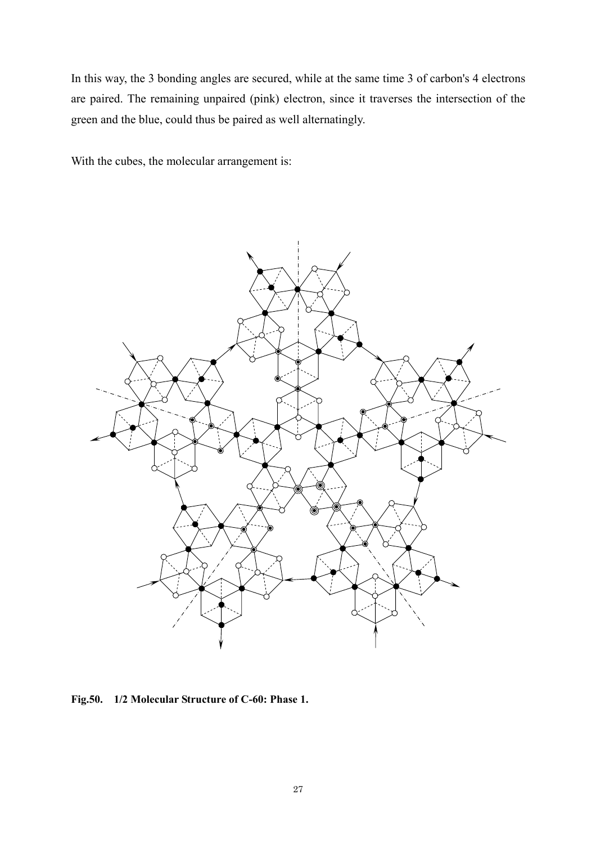In this way, the 3 bonding angles are secured, while at the same time 3 of carbon's 4 electrons are paired. The remaining unpaired (pink) electron, since it traverses the intersection of the green and the blue, could thus be paired as well alternatingly.

With the cubes, the molecular arrangement is:



**Fig.50. 1/2 Molecular Structure of C-60: Phase 1.**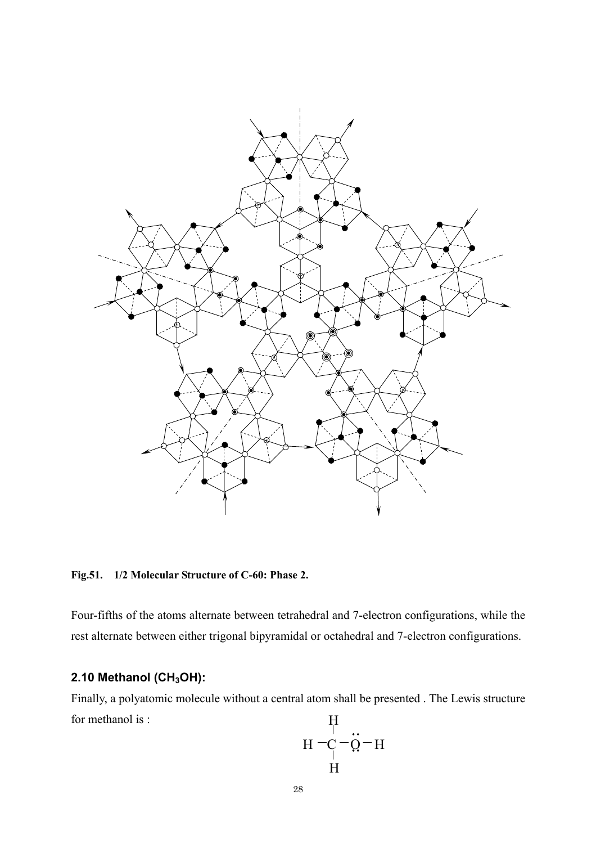

**Fig.51. 1/2 Molecular Structure of C-60: Phase 2.** 

Four-fifths of the atoms alternate between tetrahedral and 7-electron configurations, while the rest alternate between either trigonal bipyramidal or octahedral and 7-electron configurations.

# **2.10 Methanol (CH<sub>3</sub>OH):**

Finally, a polyatomic molecule without a central atom shall be presented . The Lewis structure for methanol is : **TT** 

$$
H = \frac{H}{C} = \frac{H}{Q} - H
$$
  
H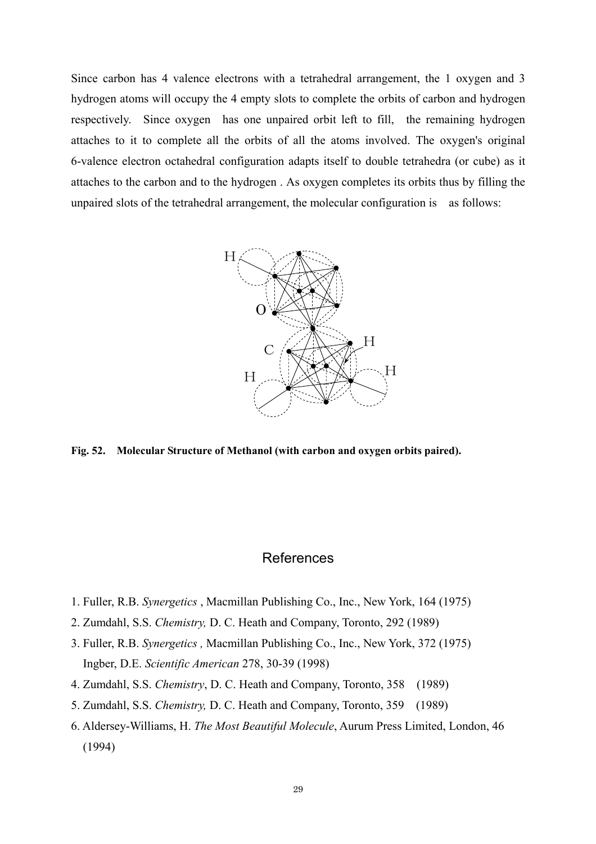Since carbon has 4 valence electrons with a tetrahedral arrangement, the 1 oxygen and 3 hydrogen atoms will occupy the 4 empty slots to complete the orbits of carbon and hydrogen respectively. Since oxygen has one unpaired orbit left to fill, the remaining hydrogen attaches to it to complete all the orbits of all the atoms involved. The oxygen's original 6-valence electron octahedral configuration adapts itself to double tetrahedra (or cube) as it attaches to the carbon and to the hydrogen . As oxygen completes its orbits thus by filling the unpaired slots of the tetrahedral arrangement, the molecular configuration is as follows:



**Fig. 52. Molecular Structure of Methanol (with carbon and oxygen orbits paired).** 

## **References**

- 1. Fuller, R.B. *Synergetics* , Macmillan Publishing Co., Inc., New York, 164 (1975)
- 2. Zumdahl, S.S. *Chemistry,* D. C. Heath and Company, Toronto, 292 (1989)
- 3. Fuller, R.B. *Synergetics ,* Macmillan Publishing Co., Inc., New York, 372 (1975) Ingber, D.E. *Scientific American* 278, 30-39 (1998)
- 4. Zumdahl, S.S. *Chemistry*, D. C. Heath and Company, Toronto, 358 (1989)
- 5. Zumdahl, S.S. *Chemistry,* D. C. Heath and Company, Toronto, 359 (1989)
- 6. Aldersey-Williams, H. *The Most Beautiful Molecule*, Aurum Press Limited, London, 46 (1994)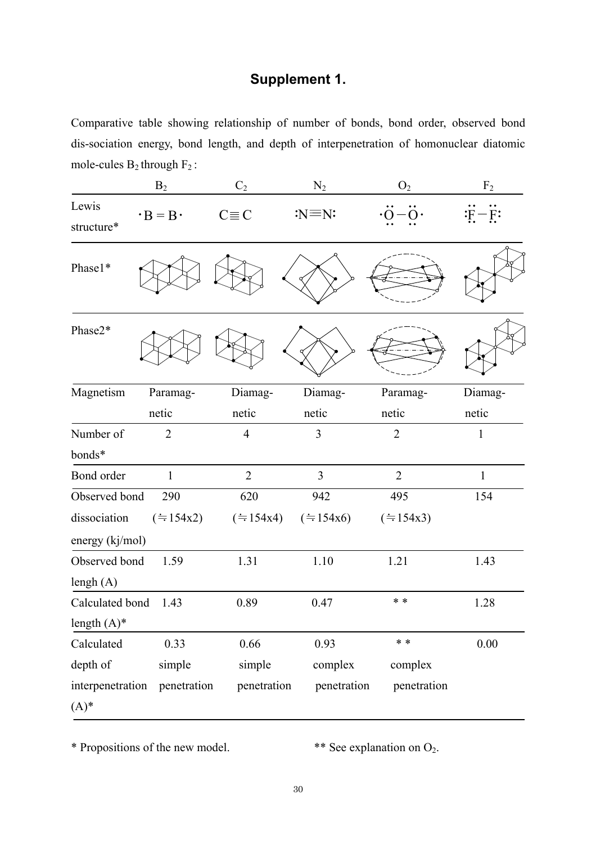# **Supplement 1.**

Comparative table showing relationship of number of bonds, bond order, observed bond dis-sociation energy, bond length, and depth of interpenetration of homonuclear diatomic mole-cules  $B_2$  through  $F_2$ :

|                     | B <sub>2</sub>        | $C_2$                  | $N_2$            | $\mathrm{O}_2$ | F <sub>2</sub>   |
|---------------------|-----------------------|------------------------|------------------|----------------|------------------|
| Lewis<br>structure* | $\cdot$ B = B $\cdot$ | $C \equiv C$           | $:N \equiv N$    |                | $\ddot{F} - F$ : |
| Phase1*             |                       |                        |                  |                |                  |
| Phase2*             |                       |                        |                  |                |                  |
| Magnetism           | Paramag-              | Diamag-                | Diamag-          | Paramag-       | Diamag-          |
|                     | netic                 | netic                  | netic            | netic          | netic            |
| Number of           | $\overline{2}$        | $\overline{4}$         | 3                | $\overline{2}$ | $\mathbf{1}$     |
| bonds*              |                       |                        |                  |                |                  |
| Bond order          | 1                     | $\overline{2}$         | 3                | $\overline{2}$ | $\mathbf{1}$     |
| Observed bond       | 290                   | 620                    | 942              | 495            | 154              |
| dissociation        | (1.54x2)              | $(=\varepsilon 154x4)$ | $(\doteq 154x6)$ | (1.54x3)       |                  |
| energy (kj/mol)     |                       |                        |                  |                |                  |
| Observed bond       | 1.59                  | 1.31                   | 1.10             | 1.21           | 1.43             |
| lengh $(A)$         |                       |                        |                  |                |                  |
| Calculated bond     | 1.43                  | 0.89                   | 0.47             | * *            | 1.28             |
| length $(A)^*$      |                       |                        |                  |                |                  |
| Calculated          | 0.33                  | 0.66                   | 0.93             | * *            | 0.00             |
| depth of            | simple                | simple                 | complex          | complex        |                  |
| interpenetration    | penetration           | penetration            | penetration      | penetration    |                  |
| $(A)^*$             |                       |                        |                  |                |                  |

\* Propositions of the new model. \*\* See explanation on O2.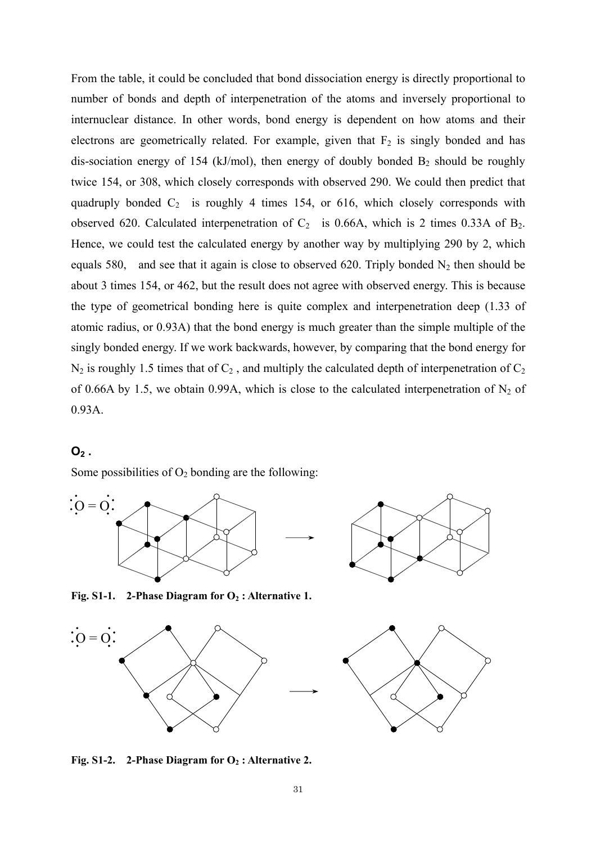From the table, it could be concluded that bond dissociation energy is directly proportional to number of bonds and depth of interpenetration of the atoms and inversely proportional to internuclear distance. In other words, bond energy is dependent on how atoms and their electrons are geometrically related. For example, given that  $F_2$  is singly bonded and has dis-sociation energy of 154 (kJ/mol), then energy of doubly bonded  $B_2$  should be roughly twice 154, or 308, which closely corresponds with observed 290. We could then predict that quadruply bonded  $C_2$  is roughly 4 times 154, or 616, which closely corresponds with observed 620. Calculated interpenetration of  $C_2$  is 0.66A, which is 2 times 0.33A of  $B_2$ . Hence, we could test the calculated energy by another way by multiplying 290 by 2, which equals 580, and see that it again is close to observed 620. Triply bonded  $N_2$  then should be about 3 times 154, or 462, but the result does not agree with observed energy. This is because the type of geometrical bonding here is quite complex and interpenetration deep (1.33 of atomic radius, or 0.93A) that the bond energy is much greater than the simple multiple of the singly bonded energy. If we work backwards, however, by comparing that the bond energy for  $N_2$  is roughly 1.5 times that of  $C_2$ , and multiply the calculated depth of interpenetration of  $C_2$ of 0.66A by 1.5, we obtain 0.99A, which is close to the calculated interpenetration of  $N_2$  of 0.93A.

## $O<sub>2</sub>$ .

Some possibilities of  $O_2$  bonding are the following:





Fig. S1-1. 2-Phase Diagram for O<sub>2</sub>: Alternative 1.





Fig. S1-2. 2-Phase Diagram for O<sub>2</sub>: Alternative 2.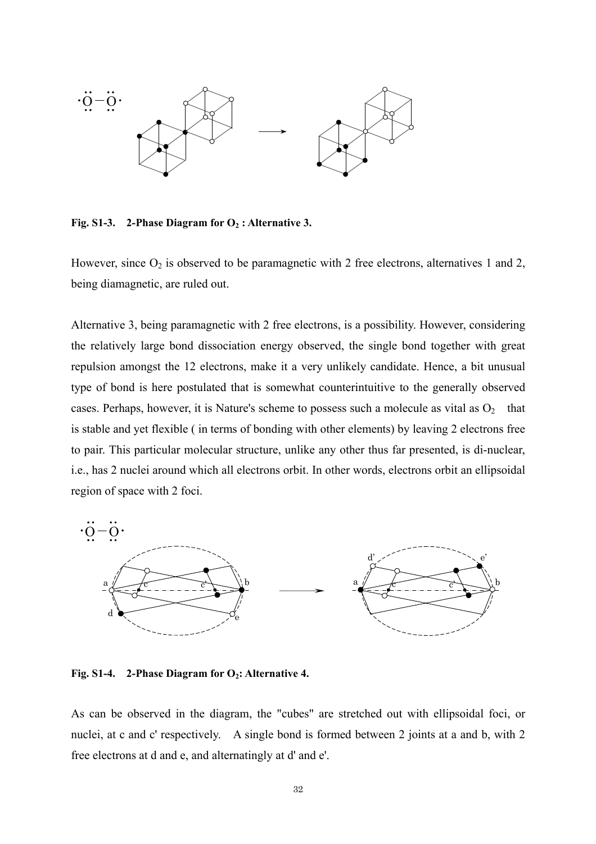

Fig. S1-3. 2-Phase Diagram for O<sub>2</sub>: Alternative 3.

However, since  $O_2$  is observed to be paramagnetic with 2 free electrons, alternatives 1 and 2, being diamagnetic, are ruled out.

Alternative 3, being paramagnetic with 2 free electrons, is a possibility. However, considering the relatively large bond dissociation energy observed, the single bond together with great repulsion amongst the 12 electrons, make it a very unlikely candidate. Hence, a bit unusual type of bond is here postulated that is somewhat counterintuitive to the generally observed cases. Perhaps, however, it is Nature's scheme to possess such a molecule as vital as  $O<sub>2</sub>$  that is stable and yet flexible ( in terms of bonding with other elements) by leaving 2 electrons free to pair. This particular molecular structure, unlike any other thus far presented, is di-nuclear, i.e., has 2 nuclei around which all electrons orbit. In other words, electrons orbit an ellipsoidal region of space with 2 foci.



Fig. S1-4. 2-Phase Diagram for O<sub>2</sub>: Alternative 4.

As can be observed in the diagram, the "cubes" are stretched out with ellipsoidal foci, or nuclei, at c and c' respectively. A single bond is formed between 2 joints at a and b, with 2 free electrons at d and e, and alternatingly at d' and e'.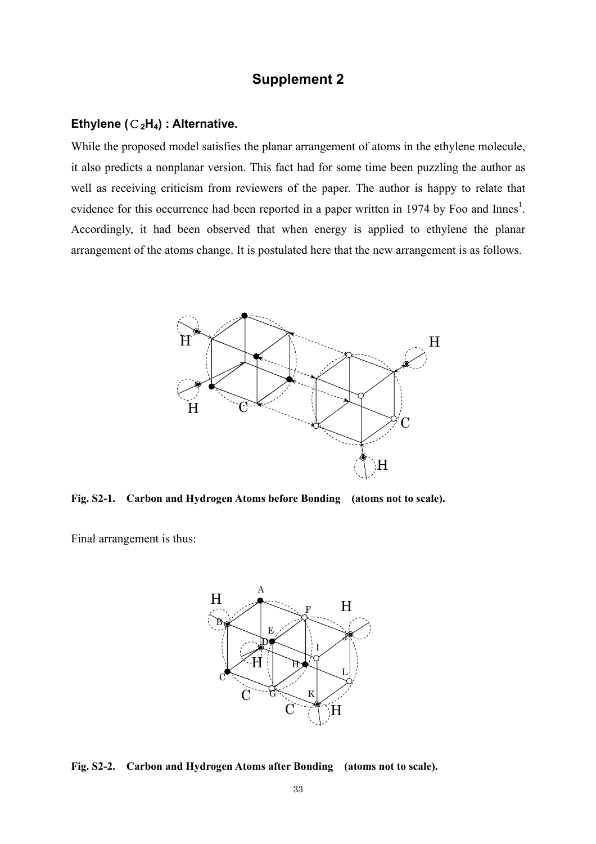# **Supplement 2**

#### **Ethylene (**C**2H4) : Alternative.**

While the proposed model satisfies the planar arrangement of atoms in the ethylene molecule, it also predicts a nonplanar version. This fact had for some time been puzzling the author as well as receiving criticism from reviewers of the paper. The author is happy to relate that evidence for this occurrence had been reported in a paper written in 1974 by Foo and Innes<sup>1</sup>. Accordingly, it had been observed that when energy is applied to ethylene the planar arrangement of the atoms change. It is postulated here that the new arrangement is as follows.



**Fig. S2-1. Carbon and Hydrogen Atoms before Bonding (atoms not to scale).** 

Final arrangement is thus:



**Fig. S2-2. Carbon and Hydrogen Atoms after Bonding (atoms not to scale).**